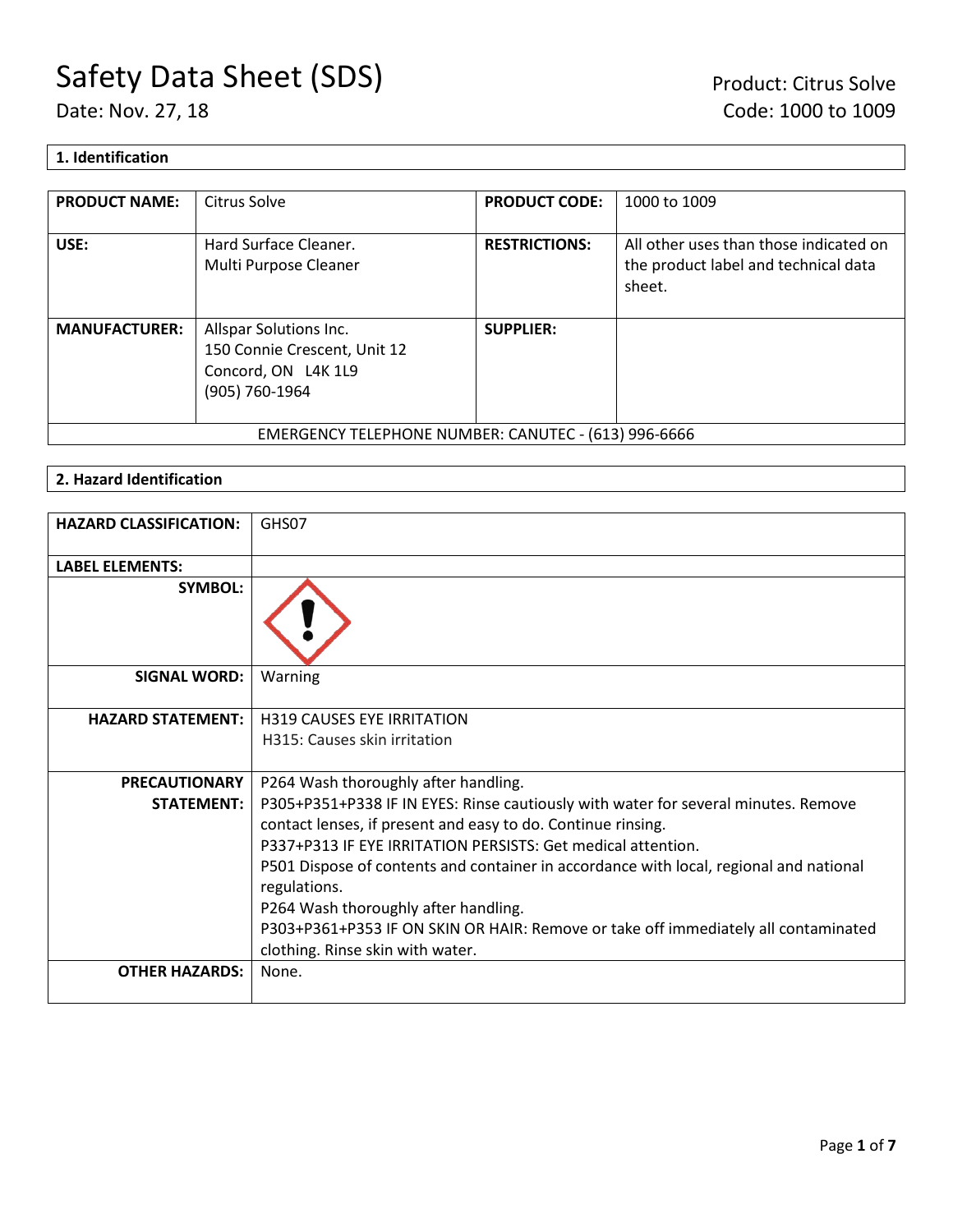# **1. Identification**

| <b>PRODUCT NAME:</b> | Citrus Solve                                                                                    | <b>PRODUCT CODE:</b> | 1000 to 1009                                                                             |
|----------------------|-------------------------------------------------------------------------------------------------|----------------------|------------------------------------------------------------------------------------------|
| USE:                 | Hard Surface Cleaner.<br>Multi Purpose Cleaner                                                  | <b>RESTRICTIONS:</b> | All other uses than those indicated on<br>the product label and technical data<br>sheet. |
| <b>MANUFACTURER:</b> | Allspar Solutions Inc.<br>150 Connie Crescent, Unit 12<br>Concord, ON L4K 1L9<br>(905) 760-1964 | <b>SUPPLIER:</b>     |                                                                                          |
|                      | EMERGENCY TELEPHONE NUMBER: CANUTEC - (613) 996-6666                                            |                      |                                                                                          |

# **2. Hazard Identification**

| <b>HAZARD CLASSIFICATION:</b> | GHS07                                                                                                                                                                                                              |
|-------------------------------|--------------------------------------------------------------------------------------------------------------------------------------------------------------------------------------------------------------------|
| <b>LABEL ELEMENTS:</b>        |                                                                                                                                                                                                                    |
| <b>SYMBOL:</b>                |                                                                                                                                                                                                                    |
| <b>SIGNAL WORD:</b>           | Warning                                                                                                                                                                                                            |
| <b>HAZARD STATEMENT:</b>      | <b>H319 CAUSES EYE IRRITATION</b>                                                                                                                                                                                  |
|                               | H315: Causes skin irritation                                                                                                                                                                                       |
| <b>PRECAUTIONARY</b>          | P264 Wash thoroughly after handling.                                                                                                                                                                               |
| <b>STATEMENT:</b>             | P305+P351+P338 IF IN EYES: Rinse cautiously with water for several minutes. Remove<br>contact lenses, if present and easy to do. Continue rinsing.<br>P337+P313 IF EYE IRRITATION PERSISTS: Get medical attention. |
|                               | P501 Dispose of contents and container in accordance with local, regional and national<br>regulations.                                                                                                             |
|                               | P264 Wash thoroughly after handling.                                                                                                                                                                               |
|                               | P303+P361+P353 IF ON SKIN OR HAIR: Remove or take off immediately all contaminated<br>clothing. Rinse skin with water.                                                                                             |
| <b>OTHER HAZARDS:</b>         | None.                                                                                                                                                                                                              |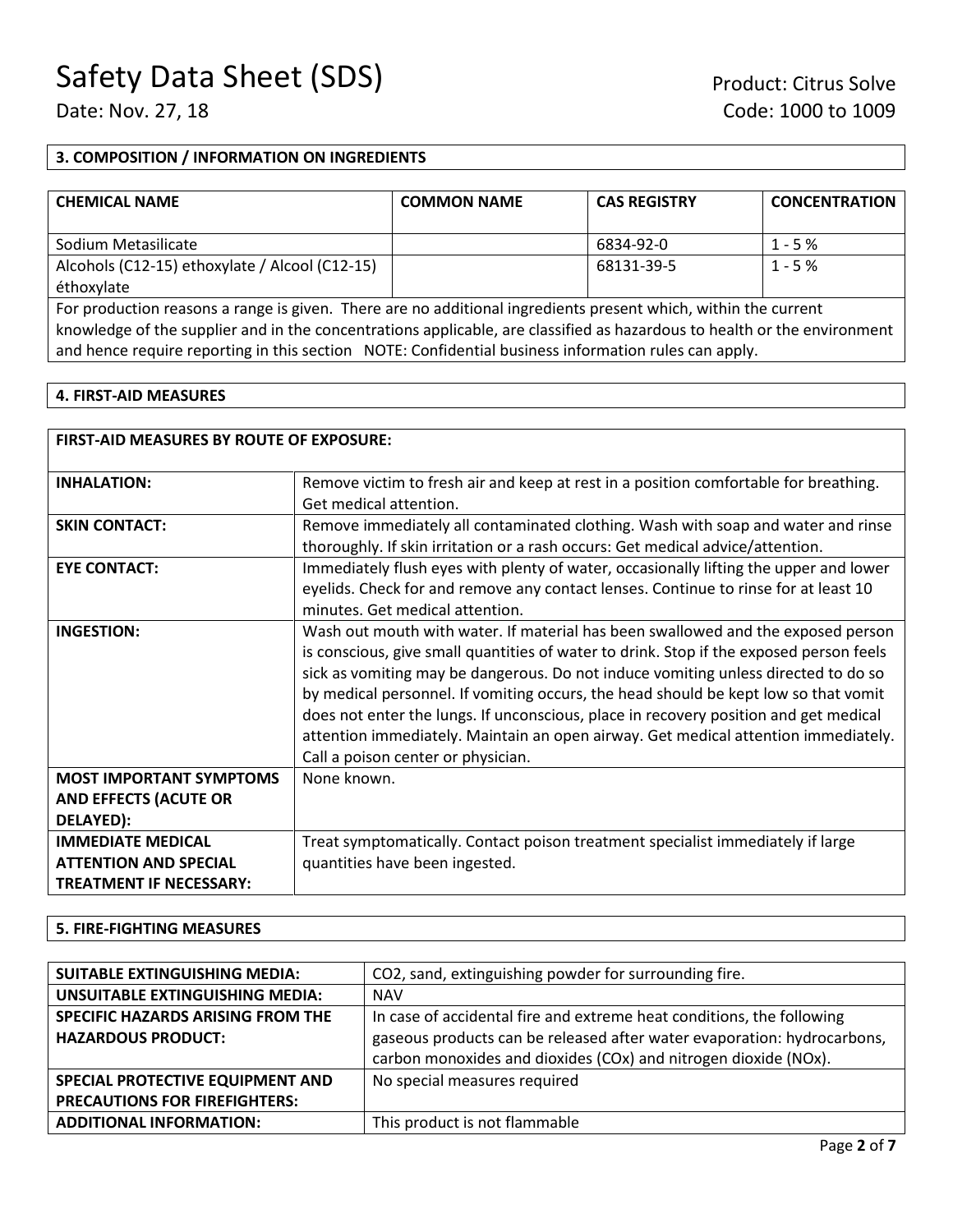# **3. COMPOSITION / INFORMATION ON INGREDIENTS**

| <b>CHEMICAL NAME</b>                           | <b>COMMON NAME</b> | <b>CAS REGISTRY</b> | <b>CONCENTRATION</b> |
|------------------------------------------------|--------------------|---------------------|----------------------|
| Sodium Metasilicate                            |                    | 6834-92-0           | $1 - 5%$             |
| Alcohols (C12-15) ethoxylate / Alcool (C12-15) |                    | 68131-39-5          | $1 - 5%$             |
| éthoxylate                                     |                    |                     |                      |

For production reasons a range is given. There are no additional ingredients present which, within the current knowledge of the supplier and in the concentrations applicable, are classified as hazardous to health or the environment and hence require reporting in this section NOTE: Confidential business information rules can apply.

# **4. FIRST-AID MEASURES**

| <b>FIRST-AID MEASURES BY ROUTE OF EXPOSURE:</b> |                                                                                         |
|-------------------------------------------------|-----------------------------------------------------------------------------------------|
| <b>INHALATION:</b>                              | Remove victim to fresh air and keep at rest in a position comfortable for breathing.    |
|                                                 | Get medical attention.                                                                  |
| <b>SKIN CONTACT:</b>                            | Remove immediately all contaminated clothing. Wash with soap and water and rinse        |
|                                                 | thoroughly. If skin irritation or a rash occurs: Get medical advice/attention.          |
| <b>EYE CONTACT:</b>                             | Immediately flush eyes with plenty of water, occasionally lifting the upper and lower   |
|                                                 | eyelids. Check for and remove any contact lenses. Continue to rinse for at least 10     |
|                                                 | minutes. Get medical attention.                                                         |
| <b>INGESTION:</b>                               | Wash out mouth with water. If material has been swallowed and the exposed person        |
|                                                 | is conscious, give small quantities of water to drink. Stop if the exposed person feels |
|                                                 | sick as vomiting may be dangerous. Do not induce vomiting unless directed to do so      |
|                                                 | by medical personnel. If vomiting occurs, the head should be kept low so that vomit     |
|                                                 | does not enter the lungs. If unconscious, place in recovery position and get medical    |
|                                                 | attention immediately. Maintain an open airway. Get medical attention immediately.      |
|                                                 | Call a poison center or physician.                                                      |
| <b>MOST IMPORTANT SYMPTOMS</b>                  | None known.                                                                             |
| <b>AND EFFECTS (ACUTE OR</b>                    |                                                                                         |
| DELAYED):                                       |                                                                                         |
| <b>IMMEDIATE MEDICAL</b>                        | Treat symptomatically. Contact poison treatment specialist immediately if large         |
| <b>ATTENTION AND SPECIAL</b>                    | quantities have been ingested.                                                          |
| <b>TREATMENT IF NECESSARY:</b>                  |                                                                                         |

#### **5. FIRE-FIGHTING MEASURES**

| <b>SUITABLE EXTINGUISHING MEDIA:</b>   | CO2, sand, extinguishing powder for surrounding fire.                   |
|----------------------------------------|-------------------------------------------------------------------------|
| <b>UNSUITABLE EXTINGUISHING MEDIA:</b> | <b>NAV</b>                                                              |
| SPECIFIC HAZARDS ARISING FROM THE      | In case of accidental fire and extreme heat conditions, the following   |
| <b>HAZARDOUS PRODUCT:</b>              | gaseous products can be released after water evaporation: hydrocarbons, |
|                                        | carbon monoxides and dioxides (COx) and nitrogen dioxide (NOx).         |
| SPECIAL PROTECTIVE EQUIPMENT AND       | No special measures required                                            |
| <b>PRECAUTIONS FOR FIREFIGHTERS:</b>   |                                                                         |
| <b>ADDITIONAL INFORMATION:</b>         | This product is not flammable                                           |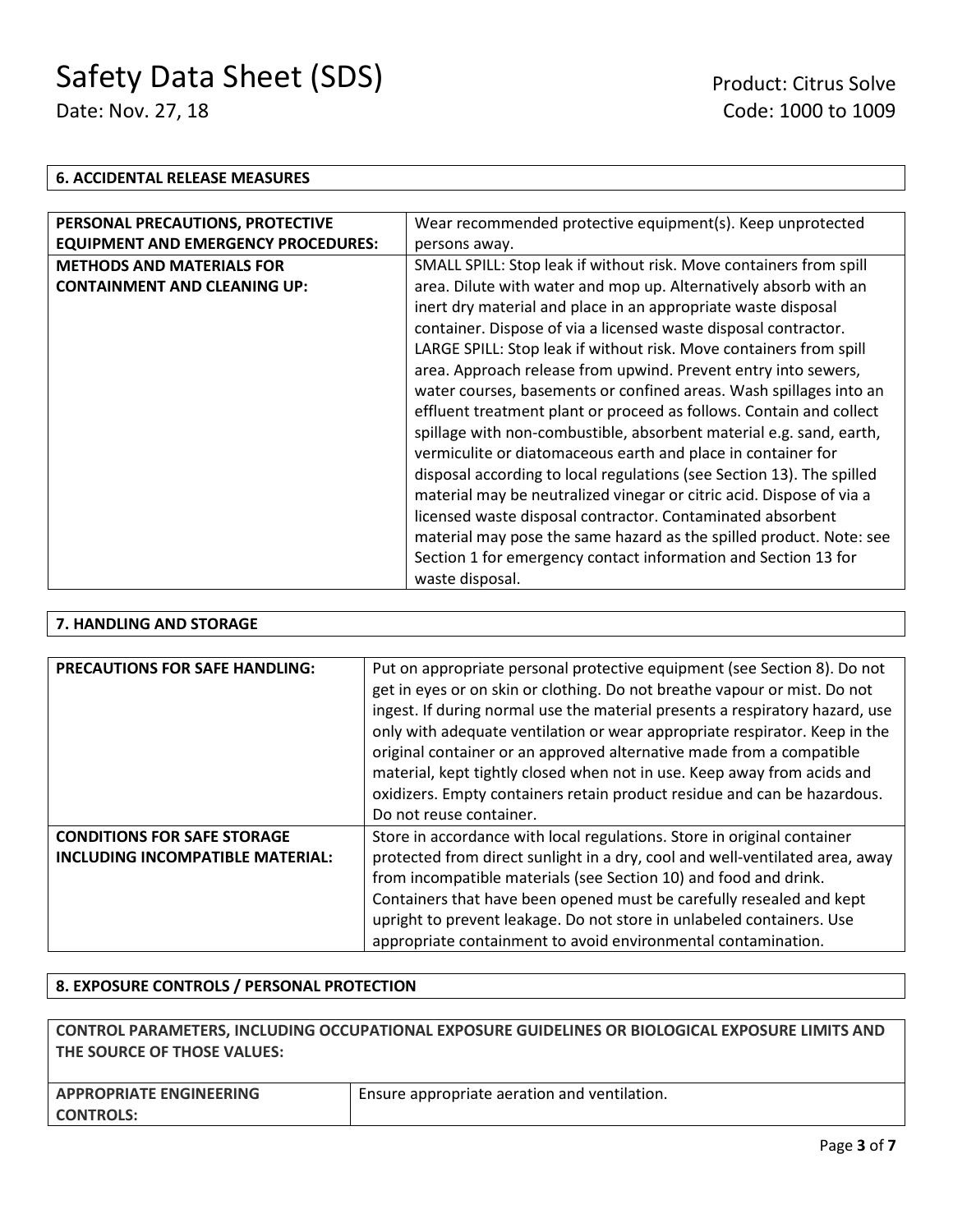#### **6. ACCIDENTAL RELEASE MEASURES**

| PERSONAL PRECAUTIONS, PROTECTIVE           | Wear recommended protective equipment(s). Keep unprotected            |
|--------------------------------------------|-----------------------------------------------------------------------|
| <b>EQUIPMENT AND EMERGENCY PROCEDURES:</b> | persons away.                                                         |
| <b>METHODS AND MATERIALS FOR</b>           | SMALL SPILL: Stop leak if without risk. Move containers from spill    |
| <b>CONTAINMENT AND CLEANING UP:</b>        | area. Dilute with water and mop up. Alternatively absorb with an      |
|                                            | inert dry material and place in an appropriate waste disposal         |
|                                            | container. Dispose of via a licensed waste disposal contractor.       |
|                                            | LARGE SPILL: Stop leak if without risk. Move containers from spill    |
|                                            | area. Approach release from upwind. Prevent entry into sewers,        |
|                                            | water courses, basements or confined areas. Wash spillages into an    |
|                                            | effluent treatment plant or proceed as follows. Contain and collect   |
|                                            | spillage with non-combustible, absorbent material e.g. sand, earth,   |
|                                            | vermiculite or diatomaceous earth and place in container for          |
|                                            | disposal according to local regulations (see Section 13). The spilled |
|                                            | material may be neutralized vinegar or citric acid. Dispose of via a  |
|                                            | licensed waste disposal contractor. Contaminated absorbent            |
|                                            | material may pose the same hazard as the spilled product. Note: see   |
|                                            | Section 1 for emergency contact information and Section 13 for        |
|                                            | waste disposal.                                                       |

# **7. HANDLING AND STORAGE**

| <b>PRECAUTIONS FOR SAFE HANDLING:</b>                                         | Put on appropriate personal protective equipment (see Section 8). Do not<br>get in eyes or on skin or clothing. Do not breathe vapour or mist. Do not<br>ingest. If during normal use the material presents a respiratory hazard, use<br>only with adequate ventilation or wear appropriate respirator. Keep in the<br>original container or an approved alternative made from a compatible<br>material, kept tightly closed when not in use. Keep away from acids and<br>oxidizers. Empty containers retain product residue and can be hazardous.<br>Do not reuse container. |
|-------------------------------------------------------------------------------|-------------------------------------------------------------------------------------------------------------------------------------------------------------------------------------------------------------------------------------------------------------------------------------------------------------------------------------------------------------------------------------------------------------------------------------------------------------------------------------------------------------------------------------------------------------------------------|
| <b>CONDITIONS FOR SAFE STORAGE</b><br><b>INCLUDING INCOMPATIBLE MATERIAL:</b> | Store in accordance with local regulations. Store in original container<br>protected from direct sunlight in a dry, cool and well-ventilated area, away<br>from incompatible materials (see Section 10) and food and drink.<br>Containers that have been opened must be carefully resealed and kept<br>upright to prevent leakage. Do not store in unlabeled containers. Use<br>appropriate containment to avoid environmental contamination.                                                                                                                                 |

# **8. EXPOSURE CONTROLS / PERSONAL PROTECTION**

| CONTROL PARAMETERS. INCLUDING OCCUPATIONAL EXPOSURE GUIDELINES OR BIOLOGICAL EXPOSURE LIMITS AND |                                              |  |
|--------------------------------------------------------------------------------------------------|----------------------------------------------|--|
| THE SOURCE OF THOSE VALUES:                                                                      |                                              |  |
|                                                                                                  |                                              |  |
| <b>APPROPRIATE ENGINEERING</b>                                                                   | Ensure appropriate aeration and ventilation. |  |
| <b>CONTROLS:</b>                                                                                 |                                              |  |
|                                                                                                  |                                              |  |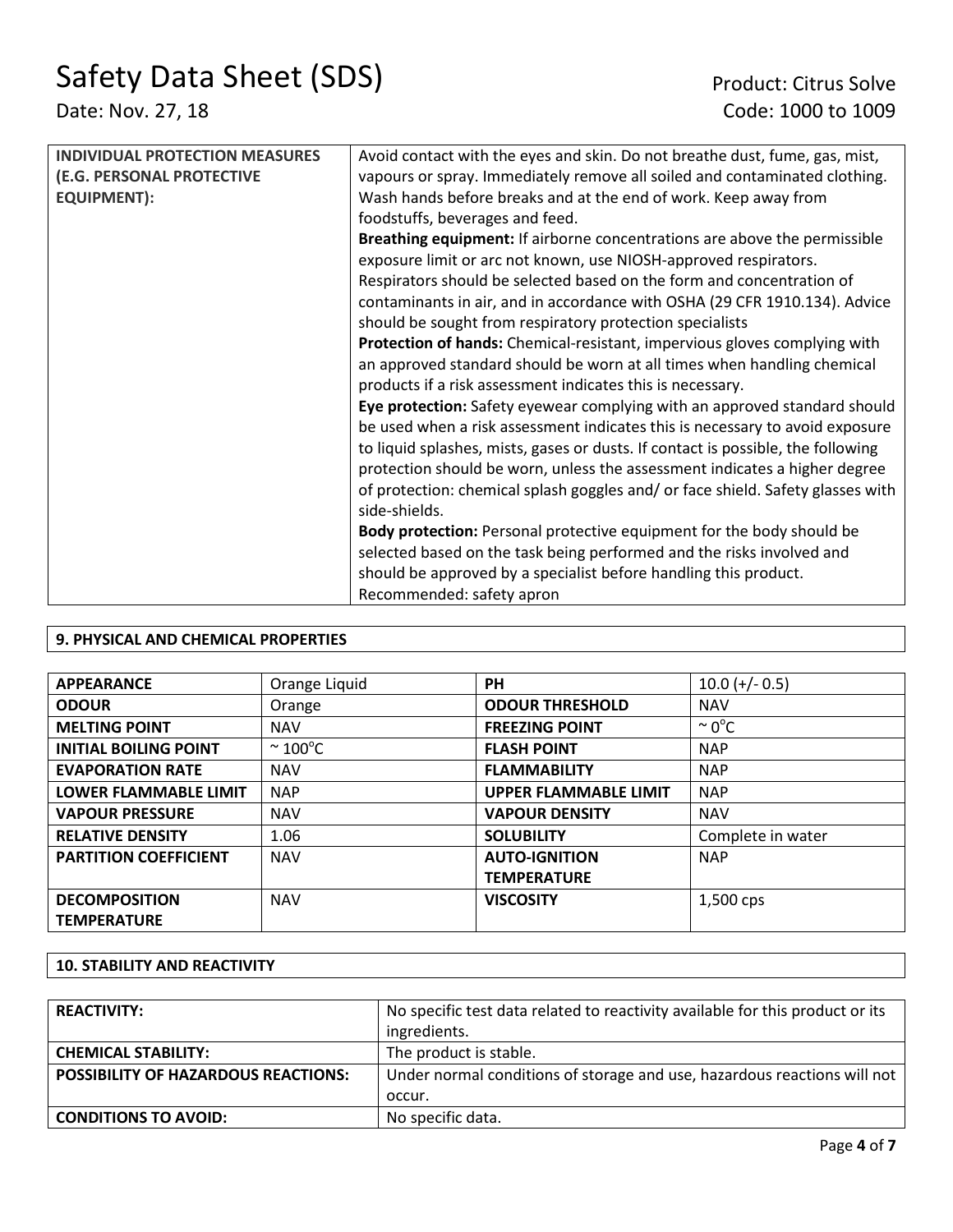| <b>INDIVIDUAL PROTECTION MEASURES</b> | Avoid contact with the eyes and skin. Do not breathe dust, fume, gas, mist,      |
|---------------------------------------|----------------------------------------------------------------------------------|
| (E.G. PERSONAL PROTECTIVE             | vapours or spray. Immediately remove all soiled and contaminated clothing.       |
| <b>EQUIPMENT):</b>                    | Wash hands before breaks and at the end of work. Keep away from                  |
|                                       | foodstuffs, beverages and feed.                                                  |
|                                       | Breathing equipment: If airborne concentrations are above the permissible        |
|                                       | exposure limit or arc not known, use NIOSH-approved respirators.                 |
|                                       | Respirators should be selected based on the form and concentration of            |
|                                       | contaminants in air, and in accordance with OSHA (29 CFR 1910.134). Advice       |
|                                       | should be sought from respiratory protection specialists                         |
|                                       | Protection of hands: Chemical-resistant, impervious gloves complying with        |
|                                       | an approved standard should be worn at all times when handling chemical          |
|                                       | products if a risk assessment indicates this is necessary.                       |
|                                       | Eye protection: Safety eyewear complying with an approved standard should        |
|                                       | be used when a risk assessment indicates this is necessary to avoid exposure     |
|                                       | to liquid splashes, mists, gases or dusts. If contact is possible, the following |
|                                       | protection should be worn, unless the assessment indicates a higher degree       |
|                                       | of protection: chemical splash goggles and/ or face shield. Safety glasses with  |
|                                       | side-shields.                                                                    |
|                                       | Body protection: Personal protective equipment for the body should be            |
|                                       | selected based on the task being performed and the risks involved and            |
|                                       | should be approved by a specialist before handling this product.                 |
|                                       | Recommended: safety apron                                                        |

# **9. PHYSICAL AND CHEMICAL PROPERTIES**

| <b>APPEARANCE</b>            | Orange Liquid           | PH                           | $10.0 (+/- 0.5)$   |
|------------------------------|-------------------------|------------------------------|--------------------|
| <b>ODOUR</b>                 | Orange                  | <b>ODOUR THRESHOLD</b>       | <b>NAV</b>         |
| <b>MELTING POINT</b>         | <b>NAV</b>              | <b>FREEZING POINT</b>        | $\sim 0^{\circ}$ C |
| <b>INITIAL BOILING POINT</b> | $\sim$ 100 $^{\circ}$ C | <b>FLASH POINT</b>           | <b>NAP</b>         |
| <b>EVAPORATION RATE</b>      | <b>NAV</b>              | <b>FLAMMABILITY</b>          | <b>NAP</b>         |
| <b>LOWER FLAMMABLE LIMIT</b> | <b>NAP</b>              | <b>UPPER FLAMMABLE LIMIT</b> | <b>NAP</b>         |
| <b>VAPOUR PRESSURE</b>       | <b>NAV</b>              | <b>VAPOUR DENSITY</b>        | <b>NAV</b>         |
| <b>RELATIVE DENSITY</b>      | 1.06                    | <b>SOLUBILITY</b>            | Complete in water  |
| <b>PARTITION COEFFICIENT</b> | <b>NAV</b>              | <b>AUTO-IGNITION</b>         | <b>NAP</b>         |
|                              |                         | <b>TEMPERATURE</b>           |                    |
| <b>DECOMPOSITION</b>         | <b>NAV</b>              | <b>VISCOSITY</b>             | 1,500 cps          |
| <b>TEMPERATURE</b>           |                         |                              |                    |

# **10. STABILITY AND REACTIVITY**

| <b>REACTIVITY:</b>                         | No specific test data related to reactivity available for this product or its<br>ingredients. |
|--------------------------------------------|-----------------------------------------------------------------------------------------------|
| <b>CHEMICAL STABILITY:</b>                 | The product is stable.                                                                        |
| <b>POSSIBILITY OF HAZARDOUS REACTIONS:</b> | Under normal conditions of storage and use, hazardous reactions will not                      |
|                                            | occur.                                                                                        |
| <b>CONDITIONS TO AVOID:</b>                | No specific data.                                                                             |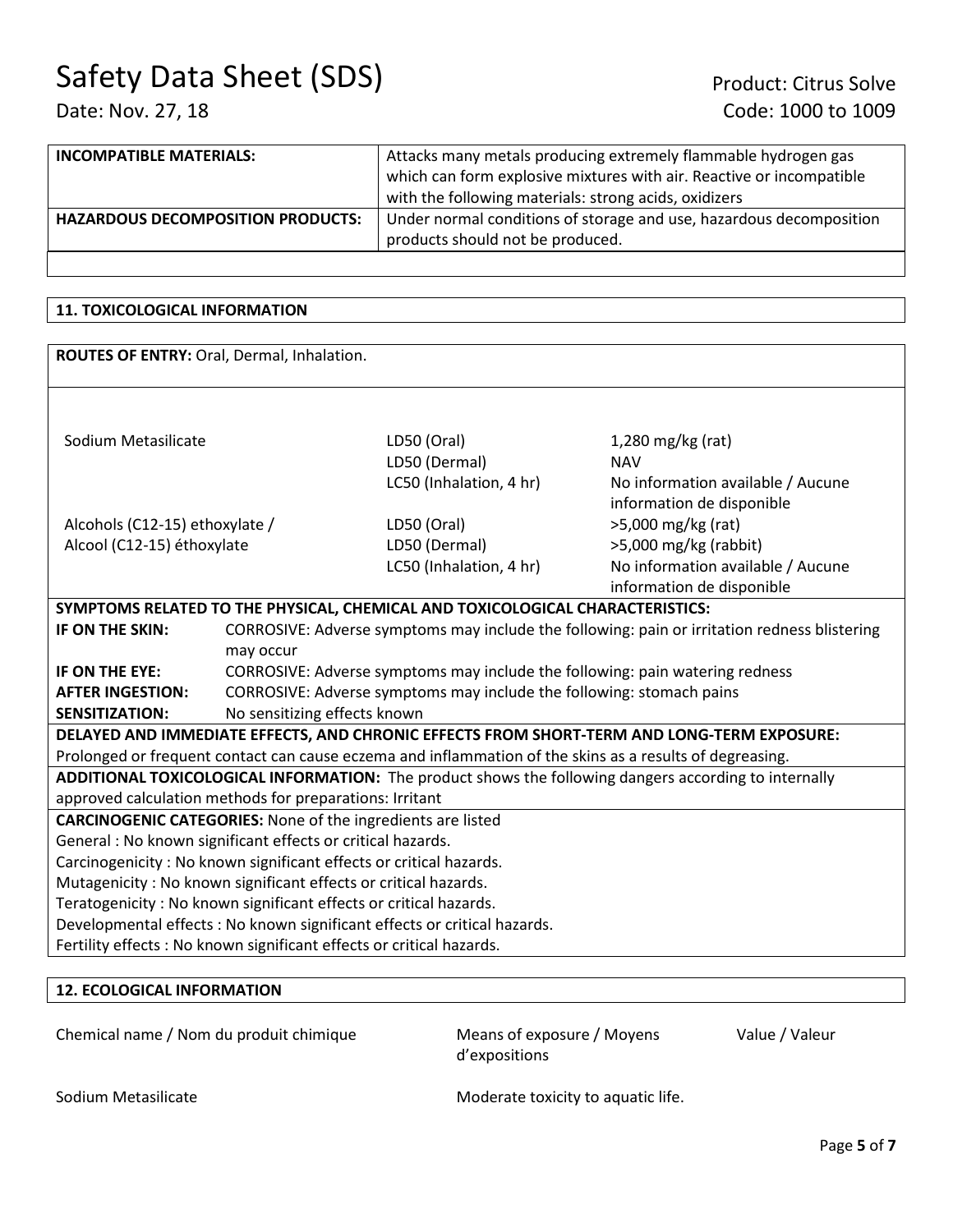| <b>INCOMPATIBLE MATERIALS:</b>           | Attacks many metals producing extremely flammable hydrogen gas       |  |
|------------------------------------------|----------------------------------------------------------------------|--|
|                                          | which can form explosive mixtures with air. Reactive or incompatible |  |
|                                          | with the following materials: strong acids, oxidizers                |  |
| <b>HAZARDOUS DECOMPOSITION PRODUCTS:</b> | Under normal conditions of storage and use, hazardous decomposition  |  |
|                                          | products should not be produced.                                     |  |

# **11. TOXICOLOGICAL INFORMATION**

| ROUTES OF ENTRY: Oral, Dermal, Inhalation.                                                               |                                                                                              |                                                                               |                                   |  |
|----------------------------------------------------------------------------------------------------------|----------------------------------------------------------------------------------------------|-------------------------------------------------------------------------------|-----------------------------------|--|
|                                                                                                          |                                                                                              |                                                                               |                                   |  |
|                                                                                                          |                                                                                              |                                                                               |                                   |  |
|                                                                                                          |                                                                                              |                                                                               |                                   |  |
| Sodium Metasilicate                                                                                      |                                                                                              | LD50 (Oral)                                                                   | $1,280$ mg/kg (rat)               |  |
|                                                                                                          |                                                                                              | LD50 (Dermal)                                                                 | <b>NAV</b>                        |  |
|                                                                                                          |                                                                                              | LC50 (Inhalation, 4 hr)                                                       | No information available / Aucune |  |
|                                                                                                          |                                                                                              |                                                                               | information de disponible         |  |
| Alcohols (C12-15) ethoxylate /                                                                           |                                                                                              | LD50 (Oral)                                                                   | >5,000 mg/kg (rat)                |  |
| Alcool (C12-15) éthoxylate                                                                               |                                                                                              | LD50 (Dermal)                                                                 | >5,000 mg/kg (rabbit)             |  |
|                                                                                                          |                                                                                              | LC50 (Inhalation, 4 hr)                                                       | No information available / Aucune |  |
|                                                                                                          |                                                                                              |                                                                               | information de disponible         |  |
|                                                                                                          |                                                                                              | SYMPTOMS RELATED TO THE PHYSICAL, CHEMICAL AND TOXICOLOGICAL CHARACTERISTICS: |                                   |  |
| IF ON THE SKIN:                                                                                          | CORROSIVE: Adverse symptoms may include the following: pain or irritation redness blistering |                                                                               |                                   |  |
|                                                                                                          | may occur                                                                                    |                                                                               |                                   |  |
| IF ON THE EYE:                                                                                           | CORROSIVE: Adverse symptoms may include the following: pain watering redness                 |                                                                               |                                   |  |
| <b>AFTER INGESTION:</b>                                                                                  |                                                                                              | CORROSIVE: Adverse symptoms may include the following: stomach pains          |                                   |  |
| <b>SENSITIZATION:</b>                                                                                    | No sensitizing effects known                                                                 |                                                                               |                                   |  |
| DELAYED AND IMMEDIATE EFFECTS, AND CHRONIC EFFECTS FROM SHORT-TERM AND LONG-TERM EXPOSURE:               |                                                                                              |                                                                               |                                   |  |
| Prolonged or frequent contact can cause eczema and inflammation of the skins as a results of degreasing. |                                                                                              |                                                                               |                                   |  |
| ADDITIONAL TOXICOLOGICAL INFORMATION: The product shows the following dangers according to internally    |                                                                                              |                                                                               |                                   |  |
| approved calculation methods for preparations: Irritant                                                  |                                                                                              |                                                                               |                                   |  |
| <b>CARCINOGENIC CATEGORIES:</b> None of the ingredients are listed                                       |                                                                                              |                                                                               |                                   |  |
| General : No known significant effects or critical hazards.                                              |                                                                                              |                                                                               |                                   |  |
| Carcinogenicity: No known significant effects or critical hazards.                                       |                                                                                              |                                                                               |                                   |  |
| Mutagenicity: No known significant effects or critical hazards.                                          |                                                                                              |                                                                               |                                   |  |
| Teratogenicity: No known significant effects or critical hazards.                                        |                                                                                              |                                                                               |                                   |  |
| Developmental effects : No known significant effects or critical hazards.                                |                                                                                              |                                                                               |                                   |  |
| Fertility effects : No known significant effects or critical hazards.                                    |                                                                                              |                                                                               |                                   |  |
|                                                                                                          |                                                                                              |                                                                               |                                   |  |

# **12. ECOLOGICAL INFORMATION**

Chemical name / Nom du produit chimique Means of exposure / Moyens

d'expositions

Value / Valeur

Sodium Metasilicate Moderate toxicity to aquatic life.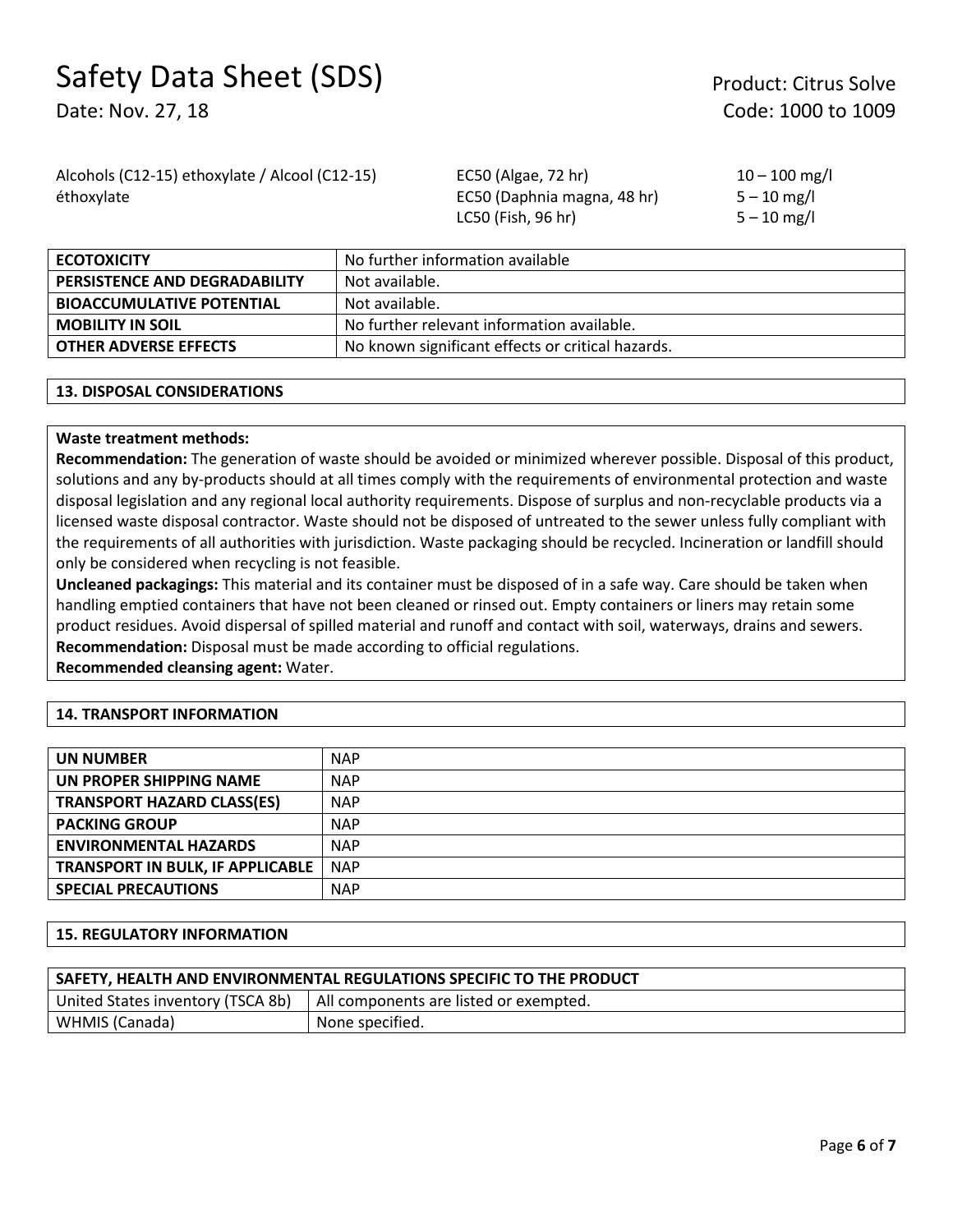# Safety Data Sheet (SDS) Product: Citrus Solve

Date: Nov. 27, 18 Code: 1000 to 1009

Alcohols (C12-15) ethoxylate / Alcool (C12-15) éthoxylate

EC50 (Algae, 72 hr) EC50 (Daphnia magna, 48 hr) LC50 (Fish, 96 hr)

 $10 - 100$  mg/l  $5 - 10$  mg/l  $5 - 10$  mg/l

| <b>ECOTOXICITY</b>               | No further information available                  |
|----------------------------------|---------------------------------------------------|
| PERSISTENCE AND DEGRADABILITY    | Not available.                                    |
| <b>BIOACCUMULATIVE POTENTIAL</b> | Not available.                                    |
| <b>MOBILITY IN SOIL</b>          | No further relevant information available.        |
| <b>OTHER ADVERSE EFFECTS</b>     | No known significant effects or critical hazards. |

# **13. DISPOSAL CONSIDERATIONS**

# **Waste treatment methods:**

**Recommendation:** The generation of waste should be avoided or minimized wherever possible. Disposal of this product, solutions and any by-products should at all times comply with the requirements of environmental protection and waste disposal legislation and any regional local authority requirements. Dispose of surplus and non-recyclable products via a licensed waste disposal contractor. Waste should not be disposed of untreated to the sewer unless fully compliant with the requirements of all authorities with jurisdiction. Waste packaging should be recycled. Incineration or landfill should only be considered when recycling is not feasible.

**Uncleaned packagings:** This material and its container must be disposed of in a safe way. Care should be taken when handling emptied containers that have not been cleaned or rinsed out. Empty containers or liners may retain some product residues. Avoid dispersal of spilled material and runoff and contact with soil, waterways, drains and sewers. **Recommendation:** Disposal must be made according to official regulations. **Recommended cleansing agent:** Water.

#### **14. TRANSPORT INFORMATION**

| <b>UN NUMBER</b>                        | <b>NAP</b> |
|-----------------------------------------|------------|
| UN PROPER SHIPPING NAME                 | <b>NAP</b> |
| <b>TRANSPORT HAZARD CLASS(ES)</b>       | <b>NAP</b> |
| <b>PACKING GROUP</b>                    | <b>NAP</b> |
| <b>ENVIRONMENTAL HAZARDS</b>            | <b>NAP</b> |
| <b>TRANSPORT IN BULK, IF APPLICABLE</b> | <b>NAP</b> |
| <b>SPECIAL PRECAUTIONS</b>              | <b>NAP</b> |

#### **15. REGULATORY INFORMATION**

| SAFETY, HEALTH AND ENVIRONMENTAL REGULATIONS SPECIFIC TO THE PRODUCT |                                        |  |  |
|----------------------------------------------------------------------|----------------------------------------|--|--|
| United States inventory (TSCA 8b)                                    | All components are listed or exempted. |  |  |
| WHMIS (Canada)                                                       | None specified.                        |  |  |